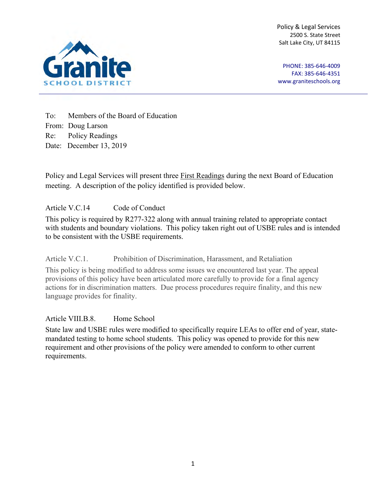Policy & Legal Services 2500 S. State Street Salt Lake City, UT 84115



PHONE: 385-646-4009 FAX: 385-646-4351 [www.graniteschools.org](http://www.graniteschools.org/)

To: Members of the Board of Education From: Doug Larson Re: Policy Readings Date: December 13, 2019

Policy and Legal Services will present three First Readings during the next Board of Education meeting. A description of the policy identified is provided below.

Article V.C.14 Code of Conduct

This policy is required by R277-322 along with annual training related to appropriate contact with students and boundary violations. This policy taken right out of USBE rules and is intended to be consistent with the USBE requirements.

Article V.C.1. Prohibition of Discrimination, Harassment, and Retaliation

This policy is being modified to address some issues we encountered last year. The appeal provisions of this policy have been articulated more carefully to provide for a final agency actions for in discrimination matters. Due process procedures require finality, and this new language provides for finality.

Article VIII.B.8. Home School

State law and USBE rules were modified to specifically require LEAs to offer end of year, statemandated testing to home school students. This policy was opened to provide for this new requirement and other provisions of the policy were amended to conform to other current requirements.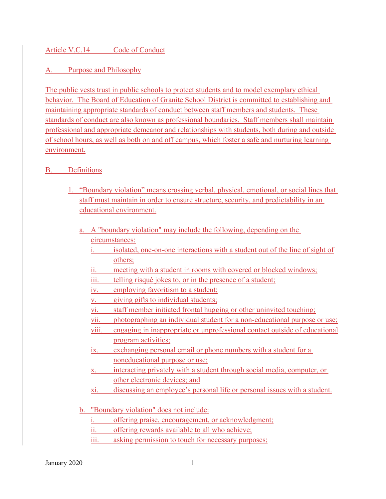### Article V.C.14 Code of Conduct

## A. Purpose and Philosophy

The public vests trust in public schools to protect students and to model exemplary ethical behavior. The Board of Education of Granite School District is committed to establishing and maintaining appropriate standards of conduct between staff members and students. These standards of conduct are also known as professional boundaries. Staff members shall maintain professional and appropriate demeanor and relationships with students, both during and outside of school hours, as well as both on and off campus, which foster a safe and nurturing learning environment.

#### B. Definitions

- 1. "Boundary violation" means crossing verbal, physical, emotional, or social lines that staff must maintain in order to ensure structure, security, and predictability in an educational environment.
	- a. A "boundary violation" may include the following, depending on the circumstances:
		- i. isolated, one-on-one interactions with a student out of the line of sight of others;
		- ii. meeting with a student in rooms with covered or blocked windows;
		- iii. telling risqué jokes to, or in the presence of a student;
		- iv. employing favoritism to a student;
		- v. giving gifts to individual students;
		- vi. staff member initiated frontal hugging or other uninvited touching;
		- vii. photographing an individual student for a non-educational purpose or use;
		- viii. engaging in inappropriate or unprofessional contact outside of educational program activities;
		- ix. exchanging personal email or phone numbers with a student for a noneducational purpose or use;
		- x. interacting privately with a student through social media, computer, or other electronic devices; and
		- xi. discussing an employee's personal life or personal issues with a student.
	- b. "Boundary violation" does not include:
		- i. offering praise, encouragement, or acknowledgment;
		- ii. offering rewards available to all who achieve;
		- iii. asking permission to touch for necessary purposes;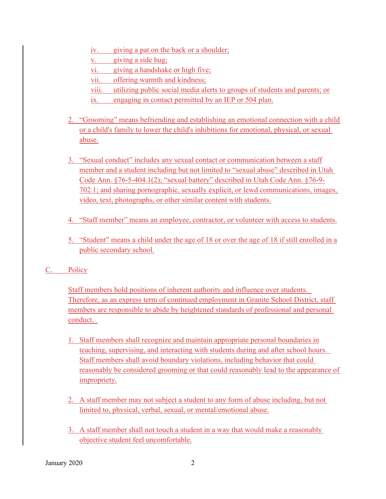- iv. giving a pat on the back or a shoulder;
- v. giving a side hug;
- vi. giving a handshake or high five;
- vii. offering warmth and kindness;
- viii. utilizing public social media alerts to groups of students and parents; or
- ix. engaging in contact permitted by an IEP or 504 plan.
- 2. "Grooming" means befriending and establishing an emotional connection with a child or a child's family to lower the child's inhibitions for emotional, physical, or sexual abuse.
- 3. "Sexual conduct" includes any sexual contact or communication between a staff member and a student including but not limited to "sexual abuse" described in Utah Code Ann. §76-5-404.1(2); "sexual battery" described in Utah Code Ann. §76-9- 702.1; and sharing pornographic, sexually explicit, or lewd communications, images, video, text, photographs, or other similar content with students.
- 4. "Staff member" means an employee, contractor, or volunteer with access to students.
- 5. "Student" means a child under the age of 18 or over the age of 18 if still enrolled in a public secondary school.

# C. Policy

Staff members hold positions of inherent authority and influence over students. Therefore, as an express term of continued employment in Granite School District, staff members are responsible to abide by heightened standards of professional and personal conduct.

- 1. Staff members shall recognize and maintain appropriate personal boundaries in teaching, supervising, and interacting with students during and after school hours. Staff members shall avoid boundary violations, including behavior that could reasonably be considered grooming or that could reasonably lead to the appearance of impropriety.
- 2. A staff member may not subject a student to any form of abuse including, but not limited to, physical, verbal, sexual, or mental/emotional abuse.
- 3. A staff member shall not touch a student in a way that would make a reasonably objective student feel uncomfortable.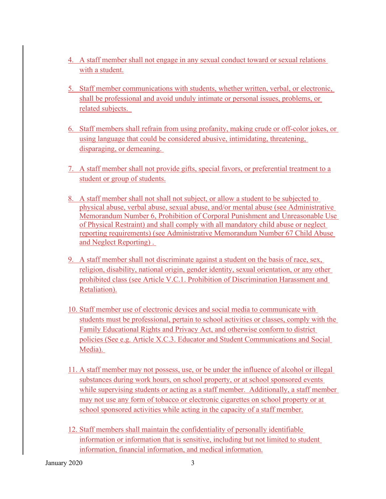- 4. A staff member shall not engage in any sexual conduct toward or sexual relations with a student.
- 5. Staff member communications with students, whether written, verbal, or electronic, shall be professional and avoid unduly intimate or personal issues, problems, or related subjects.
- 6. Staff members shall refrain from using profanity, making crude or off-color jokes, or using language that could be considered abusive, intimidating, threatening, disparaging, or demeaning.
- 7. A staff member shall not provide gifts, special favors, or preferential treatment to a student or group of students.
- 8. A staff member shall not shall not subject, or allow a student to be subjected to physical abuse, verbal abuse, sexual abuse, and/or mental abuse (see Administrative Memorandum Number 6, Prohibition of Corporal Punishment and Unreasonable Use of Physical Restraint) and shall comply with all mandatory child abuse or neglect reporting requirements) (see Administrative Memorandum Number 67 Child Abuse and Neglect Reporting) .
- 9. A staff member shall not discriminate against a student on the basis of race, sex, religion, disability, national origin, gender identity, sexual orientation, or any other prohibited class (see Article V.C.1. Prohibition of Discrimination Harassment and Retaliation).
- 10. Staff member use of electronic devices and social media to communicate with students must be professional, pertain to school activities or classes, comply with the Family Educational Rights and Privacy Act, and otherwise conform to district policies (See e.g. Article X.C.3. Educator and Student Communications and Social Media).
- 11. A staff member may not possess, use, or be under the influence of alcohol or illegal substances during work hours, on school property, or at school sponsored events while supervising students or acting as a staff member. Additionally, a staff member may not use any form of tobacco or electronic cigarettes on school property or at school sponsored activities while acting in the capacity of a staff member.
- 12. Staff members shall maintain the confidentiality of personally identifiable information or information that is sensitive, including but not limited to student information, financial information, and medical information.

January 2020 3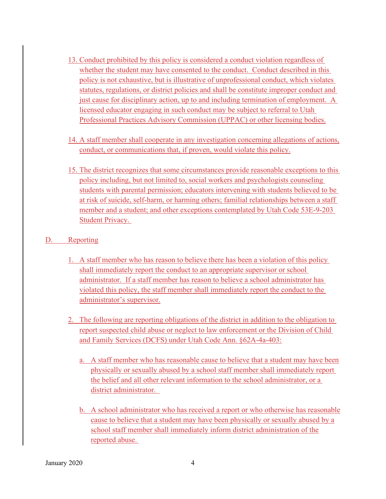- 13. Conduct prohibited by this policy is considered a conduct violation regardless of whether the student may have consented to the conduct. Conduct described in this policy is not exhaustive, but is illustrative of unprofessional conduct, which violates statutes, regulations, or district policies and shall be constitute improper conduct and just cause for disciplinary action, up to and including termination of employment. A licensed educator engaging in such conduct may be subject to referral to Utah Professional Practices Advisory Commission (UPPAC) or other licensing bodies.
- 14. A staff member shall cooperate in any investigation concerning allegations of actions, conduct, or communications that, if proven, would violate this policy.
- 15. The district recognizes that some circumstances provide reasonable exceptions to this policy including, but not limited to, social workers and psychologists counseling students with parental permission; educators intervening with students believed to be at risk of suicide, self-harm, or harming others; familial relationships between a staff member and a student; and other exceptions contemplated by Utah Code 53E-9-203 Student Privacy.

#### D. Reporting

- 1. A staff member who has reason to believe there has been a violation of this policy shall immediately report the conduct to an appropriate supervisor or school administrator. If a staff member has reason to believe a school administrator has violated this policy, the staff member shall immediately report the conduct to the administrator's supervisor.
- 2. The following are reporting obligations of the district in addition to the obligation to report suspected child abuse or neglect to law enforcement or the Division of Child and Family Services (DCFS) under Utah Code Ann. §62A-4a-403:
	- a. A staff member who has reasonable cause to believe that a student may have been physically or sexually abused by a school staff member shall immediately report the belief and all other relevant information to the school administrator, or a district administrator.
	- b. A school administrator who has received a report or who otherwise has reasonable cause to believe that a student may have been physically or sexually abused by a school staff member shall immediately inform district administration of the reported abuse.